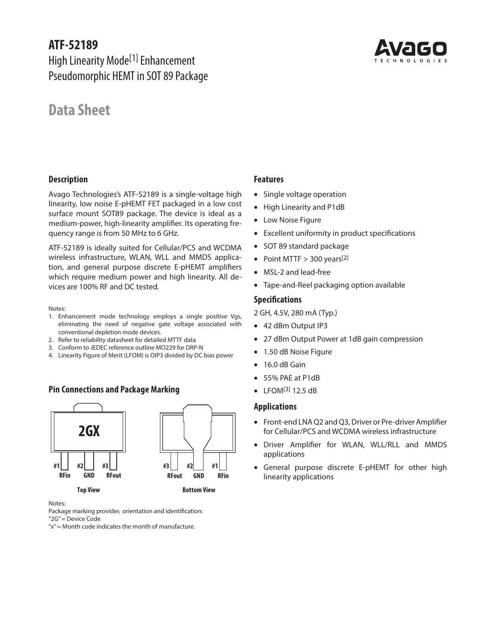# **ATF-52189**

High Linearity Mode[1] Enhancement Pseudomorphic HEMT in SOT 89 Package

# **Data Sheet**

## **Description**

Avago Technologies's ATF-52189 is a single-voltage high linearity, low noise E-pHEMT FET packaged in a low cost surface mount SOT89 package. The device is ideal as a medium-power, high-linearity amplifier. Its operating frequency range is from 50 MHz to 6 GHz.

ATF-52189 is ideally suited for Cellular/PCS and WCDMA wireless infrastructure, WLAN, WLL and MMDS application, and general purpose discrete E-pHEMT amplifiers which require medium power and high linearity. All devices are 100% RF and DC tested.

Notes:

- 1. Enhancement mode technology employs a single positive Vgs, eliminating the need of negative gate voltage associated with conventional depletion mode devices.
- 2. Refer to reliability datasheet for detailed MTTF data
- 3. Conform to JEDEC reference outline MO229 for DRP-N
- 4. Linearity Figure of Merit (LFOM) is OIP3 divided by DC bias power

## **Pin Connections and Package Marking**



Notes:

Package marking provides orientation and identification:

"2G" = Device Code

 $x'' =$  Month code indicates the month of manufacture.

## **Features**

- Single voltage operation
- High Linearity and P1dB
- Low Noise Figure
- Excellent uniformity in product specifications
- SOT 89 standard package
- Point MTTF  $> 300$  years<sup>[2]</sup>
- MSL-2 and lead-free
- Tape-and-Reel packaging option available

## **Specifications**

2 GH, 4.5V, 280 mA (Typ.)

- 42 dBm Output IP3
- 27 dBm Output Power at 1dB gain compression
- 1.50 dB Noise Figure
- 16.0 dB Gain
- 55% PAE at P1dB
- $\bullet$  LFOM[3] 12.5 dB

## **Applications**

- Front-end LNA Q2 and Q3, Driver or Pre-driver Amplifier for Cellular/PCS and WCDMA wireless infrastructure
- Driver Amplifier for WLAN, WLL/RLL and MMDS applications
- General purpose discrete E-pHEMT for other high linearity applications

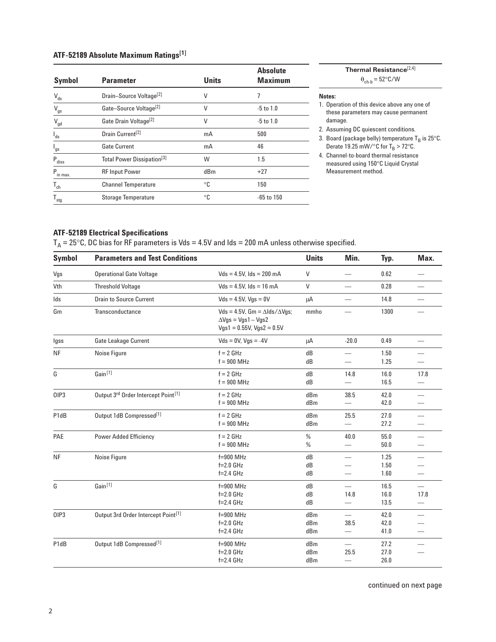## **ATF-52189 Absolute Maximum Ratings[1]**

| <b>Symbol</b>              | <b>Parameter</b>                       | <b>Units</b> | <b>Absolute</b><br><b>Maximum</b> |
|----------------------------|----------------------------------------|--------------|-----------------------------------|
| $V_{ds}$                   | Drain-Source Voltage <sup>[2]</sup>    | V            |                                   |
| $\rm V_{gs}$               | Gate-Source Voltage <sup>[2]</sup>     | V            | $-5$ to $1.0$                     |
| $\mathsf{V}_{\mathsf{gd}}$ | Gate Drain Voltage <sup>[2]</sup>      | V            | $-5$ to $1.0$                     |
| $I_{ds}$                   | Drain Current <sup>[2]</sup>           | mA           | 500                               |
| $I_{gs}$                   | <b>Gate Current</b>                    | mA           | 46                                |
| $P_{\text{diss}}$          | Total Power Dissipation <sup>[3]</sup> | W            | 1.5                               |
| $P_{\text{in max.}}$       | <b>RF Input Power</b>                  | dBm          | $+27$                             |
| $T_{ch}$                   | <b>Channel Temperature</b>             | °C           | 150                               |
| $T_{\text{stg}}$           | <b>Storage Temperature</b>             | °C           | $-65$ to 150                      |

**Notes:** 1. Operation of this device above any one of these parameters may cause permanent damage.  $\theta_{\mathrm{ch}\text{-}\mathrm{b}} = 52^{\circ} \mathrm{C} / \mathrm{W}$ 

**Thermal Resistance**[2,4]

2. Assuming DC quiescent conditions.

3. Board (package belly) temperature  $T_B$  is 25°C. Derate 19.25 mW/ $\degree$ C for T<sub>B</sub> > 72 $\degree$ C.

4. Channel-to-board thermal resistance measured using 150°C Liquid Crystal Measurement method.

## **ATF-52189 Electrical Specifications**

 $T_A = 25^{\circ}$ C, DC bias for RF parameters is Vds = 4.5V and Ids = 200 mA unless otherwise specified.

| <b>Symbol</b> | <b>Parameters and Test Conditions</b>           | <b>Units</b>                                                                                                  | Min.              | Typ.                             | Max.                 |                                                      |
|---------------|-------------------------------------------------|---------------------------------------------------------------------------------------------------------------|-------------------|----------------------------------|----------------------|------------------------------------------------------|
| Vgs           | <b>Operational Gate Voltage</b>                 | $Vds = 4.5V$ . Ids = 200 mA                                                                                   | $\mathsf{V}$      |                                  | 0.62                 | $\overline{\phantom{0}}$                             |
| Vth           | <b>Threshold Voltage</b>                        | $Vds = 4.5V$ . Ids = 16 mA                                                                                    | V                 |                                  | 0.28                 | $\overline{\phantom{0}}$                             |
| Ids           | <b>Drain to Source Current</b>                  | $Vds = 4.5V$ , $Vqs = 0V$                                                                                     | μA                |                                  | 14.8                 |                                                      |
| Gm            | Transconductance                                | Vds = 4.5V, Gm = $\Delta$ lds/ $\Delta$ Vgs;<br>$\Delta V$ gs = Vgs1 – Vgs2<br>$Vgs1 = 0.55V$ , $Vgs2 = 0.5V$ | mmho              |                                  | 1300                 |                                                      |
| lgss          | <b>Gate Leakage Current</b>                     | $Vds = 0V$ , $Vqs = -4V$                                                                                      | μA                | $-20.0$                          | 0.49                 | $\overline{\phantom{0}}$                             |
| <b>NF</b>     | Noise Figure                                    | $f = 2$ GHz<br>$f = 900$ MHz                                                                                  | dB<br>dB          | $\overline{\phantom{0}}$         | 1.50<br>1.25         |                                                      |
| G             | Gain <sup>[1]</sup>                             | $f = 2$ GHz<br>$f = 900$ MHz                                                                                  | dB<br>dB          | 14.8                             | 16.0<br>16.5         | 17.8                                                 |
| OIP3          | Output 3rd Order Intercept Point <sup>[1]</sup> | $f = 2$ GHz<br>$f = 900$ MHz                                                                                  | dBm<br>dBm        | 38.5                             | 42.0<br>42.0         |                                                      |
| P1dB          | Output 1dB Compressed <sup>[1]</sup>            | $f = 2$ GHz<br>$f = 900$ MHz                                                                                  | dBm<br>dBm        | 25.5                             | 27.0<br>27.2         |                                                      |
| PAE           | <b>Power Added Efficiency</b>                   | $f = 2$ GHz<br>$f = 900$ MHz                                                                                  | %<br>%            | 40.0<br>$\overline{\phantom{0}}$ | 55.0<br>50.0         | $\overline{\phantom{0}}$                             |
| <b>NF</b>     | Noise Figure                                    | $f=900$ MHz<br>$f=2.0$ GHz<br>$f=2.4$ GHz                                                                     | dB<br>dB<br>dB    | $\overline{\phantom{0}}$         | 1.25<br>1.50<br>1.60 | $\overline{\phantom{0}}$<br>$\overline{\phantom{0}}$ |
| G             | Gain <sup>[1]</sup>                             | $f=900$ MHz<br>$f=2.0$ GHz<br>$f=2.4$ GHz                                                                     | dB<br>dB<br>dB    | 14.8<br>$\overline{\phantom{m}}$ | 16.5<br>16.0<br>13.5 | $\overline{\phantom{0}}$<br>17.8                     |
| OIP3          | Output 3rd Order Intercept Point <sup>[1]</sup> | $f=900$ MHz<br>$f=2.0$ GHz<br>$f=2.4$ GHz                                                                     | dBm<br>dBm<br>dBm | 38.5                             | 42.0<br>42.0<br>41.0 | $\overline{\phantom{0}}$<br>$\qquad \qquad$          |
| P1dB          | Output 1dB Compressed <sup>[1]</sup>            | $f=900$ MHz<br>$f=2.0$ GHz<br>$f=2.4$ GHz                                                                     | dBm<br>dBm<br>dBm | 25.5                             | 27.2<br>27.0<br>26.0 |                                                      |

continued on next page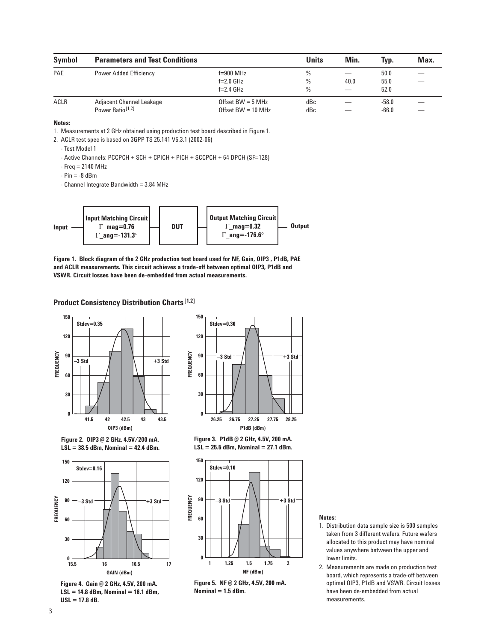| <b>Symbol</b> | <b>Parameters and Test Conditions</b>                           |                                                     | <b>Units</b> | Min.                             | Typ.                 | Max. |
|---------------|-----------------------------------------------------------------|-----------------------------------------------------|--------------|----------------------------------|----------------------|------|
| PAE           | <b>Power Added Efficiency</b>                                   | $f=900$ MHz<br>$f=2.0$ GHz<br>$f=2.4$ GHz           | %<br>%<br>%  | 40.0<br>$\overline{\phantom{a}}$ | 50.0<br>55.0<br>52.0 |      |
| ACLR          | <b>Adjacent Channel Leakage</b><br>Power Ratio <sup>[1,2]</sup> | Offset BW $=$ 5 MHz<br>Offset BW = $10 \text{ MHz}$ | dBc<br>dBc   | $\overline{\phantom{a}}$         | $-58.0$<br>$-66.0$   |      |

1. Measurements at 2 GHz obtained using production test board described in Figure 1.

2. ACLR test spec is based on 3GPP TS 25.141 V5.3.1 (2002-06)

- Test Model 1

- Active Channels: PCCPCH + SCH + CPICH + PICH + SCCPCH + 64 DPCH (SF=128)
- $-$  Freq = 2140 MHz
- $Pin = -8$  dBm
- Channel Integrate Bandwidth = 3.84 MHz



**Figure 1. Block diagram of the 2 GHz production test board used for NF, Gain, OIP3 , P1dB, PAE and ACLR measurements. This circuit achieves a trade-off between optimal OIP3, P1dB and VSWR. Circuit losses have been de-embedded from actual measurements.**

**Product Consistency Distribution Charts[1,2]**







**Figure 4. Gain @ 2 GHz, 4.5V, 200 mA. LSL = 14.8 dBm, Nominal = 16.1 dBm, USL = 17.8 dB.**



**Figure 3. P1dB @ 2 GHz, 4.5V, 200 mA. LSL = 25.5 dBm, Nominal = 27.1 dBm.**



**Figure 5. NF @ 2 GHz, 4.5V, 200 mA. Nominal = 1.5 dBm.**

#### **Notes:**

- 1. Distribution data sample size is 500 samples taken from 3 different wafers. Future wafers allocated to this product may have nominal values anywhere between the upper and lower limits.
- 2. Measurements are made on production test board, which represents a trade-off between optimal OIP3, P1dB and VSWR. Circuit losses have been de-embedded from actual measurements.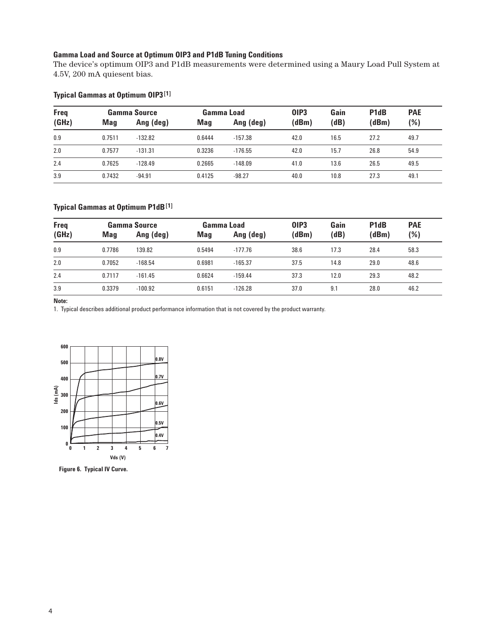## **Gamma Load and Source at Optimum OIP3 and P1dB Tuning Conditions**

The device's optimum OIP3 and P1dB measurements were determined using a Maury Load Pull System at 4.5V, 200 mA quiesent bias.

## **Typical Gammas at Optimum OIP3[1]**

| <b>Freq</b> |        | Gamma Source |        | Gamma Load | <b>OIP3</b> | Gain | P <sub>1</sub> d <sub>B</sub> | <b>PAE</b> |
|-------------|--------|--------------|--------|------------|-------------|------|-------------------------------|------------|
| (GHz)       | Mag    | Ang (deg)    | Mag    | Ang (deg)  | (dBm)       | (dB) | (dBm)                         | (%)        |
| 0.9         | 0.7511 | $-132.82$    | 0.6444 | $-157.38$  | 42.0        | 16.5 | 27.2                          | 49.7       |
| 2.0         | 0.7577 | $-131.31$    | 0.3236 | $-176.55$  | 42.0        | 15.7 | 26.8                          | 54.9       |
| 2.4         | 0.7625 | $-128.49$    | 0.2665 | $-148.09$  | 41.0        | 13.6 | 26.5                          | 49.5       |
| 3.9         | 0.7432 | $-94.91$     | 0.4125 | $-98.27$   | 40.0        | 10.8 | 27.3                          | 49.1       |

### **Typical Gammas at Optimum P1dB[1]**

| <b>Freq</b> |        | Gamma Source |        | Gamma Load | <b>OIP3</b> | Gain | P <sub>1</sub> d <sub>B</sub> | <b>PAE</b> |
|-------------|--------|--------------|--------|------------|-------------|------|-------------------------------|------------|
| (GHz)       | Mag    | Ang (deg)    | Mag    | Ang (deg)  | (dBm)       | (dB) | (dBm)                         | $(\%)$     |
| 0.9         | 0.7786 | 139.82       | 0.5494 | $-177.76$  | 38.6        | 17.3 | 28.4                          | 58.3       |
| 2.0         | 0.7052 | $-168.54$    | 0.6981 | $-165.37$  | 37.5        | 14.8 | 29.0                          | 48.6       |
| 2.4         | 0.7117 | $-161.45$    | 0.6624 | $-159.44$  | 37.3        | 12.0 | 29.3                          | 48.2       |
| 3.9         | 0.3379 | $-100.92$    | 0.6151 | $-126.28$  | 37.0        | 9.1  | 28.0                          | 46.2       |

**Note:**

1. Typical describes additional product performance information that is not covered by the product warranty.



**Figure 6. Typical IV Curve.**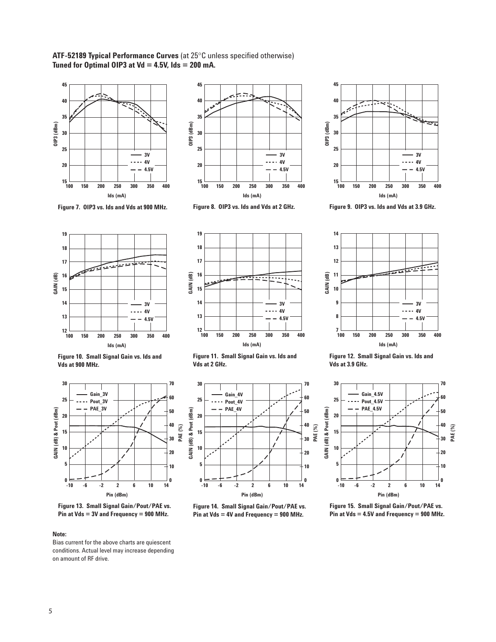**ATF-52189 Typical Performance Curves** (at 25°C unless specified otherwise) **Tuned for Optimal OIP3 at Vd = 4.5V, Ids = 200 mA.**





**Figure 7. OIP3 vs. Ids and Vds at 900 MHz.** 





**Figure 9. OIP3 vs. Ids and Vds at 3.9 GHz.** 







**Figure 10. Small Signal Gain vs. Ids and Vds at 900 MHz.** 



**Figure 13. Small Signal Gain/Pout/PAE vs. Pin at Vds = 3V and Frequency = 900 MHz.** 

Bias current for the above charts are quiescent conditions. Actual level may increase depending on amount of RF drive.

**Figure 11. Small Signal Gain vs. Ids and Vds at 2 GHz.** 



**Figure 14. Small Signal Gain/Pout/PAE vs. Pin at Vds = 4V and Frequency = 900 MHz.** 

**Figure 12. Small Signal Gain vs. Ids and Vds at 3.9 GHz.** 



**Figure 15. Small Signal Gain/Pout/PAE vs. Pin at Vds = 4.5V and Frequency = 900 MHz.** 



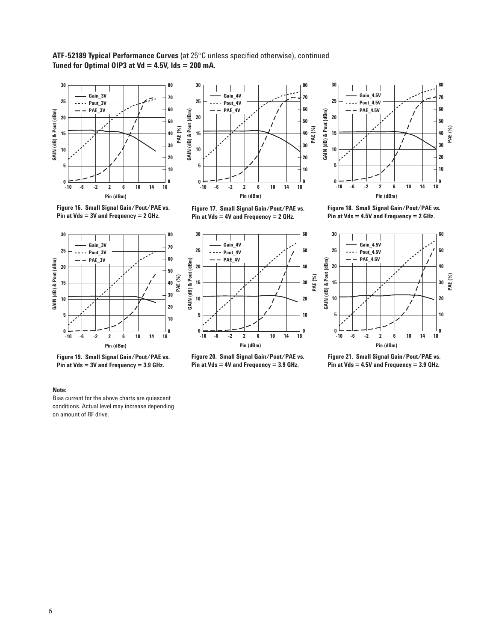**ATF-52189 Typical Performance Curves** (at 25°C unless specified otherwise), continued **Tuned for Optimal OIP3 at Vd = 4.5V, Ids = 200 mA.**



**Figure 16. Small Signal Gain/Pout/PAE vs. Pin at Vds = 3V and Frequency = 2 GHz.** 



**Figure 17. Small Signal Gain/Pout/PAE vs. Pin at Vds = 4V and Frequency = 2 GHz.** 



**Figure 19. Small Signal Gain/Pout/PAE vs. Pin at Vds = 3V and Frequency = 3.9 GHz.** 



**Figure 20. Small Signal Gain/Pout/PAE vs. Pin at Vds = 4V and Frequency = 3.9 GHz.** 



**Figure 18. Small Signal Gain/Pout/PAE vs. Pin at Vds = 4.5V and Frequency = 2 GHz.** 



**Figure 21. Small Signal Gain/Pout/PAE vs. Pin at Vds = 4.5V and Frequency = 3.9 GHz.** 

#### **Note:**

Bias current for the above charts are quiescent conditions. Actual level may increase depending on amount of RF drive.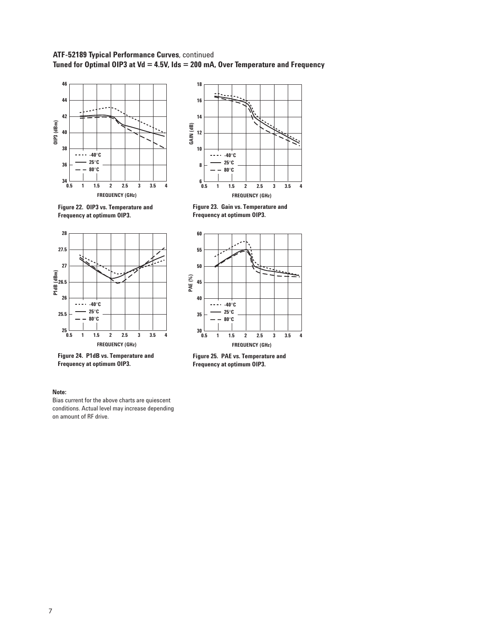## **ATF-52189 Typical Performance Curves**, continued **Tuned for Optimal OIP3 at Vd = 4.5V, Ids = 200 mA, Over Temperature and Frequency**





**Figure 23. Gain vs. Temperature and Frequency at optimum OIP3.** 



**Frequency at optimum OIP3.** 



**Figure 24. P1dB vs. Temperature and Frequency at optimum OIP3.** 

**Figure 25. PAE vs. Temperature and Frequency at optimum OIP3.** 

#### **Note:**

Bias current for the above charts are quiescent conditions. Actual level may increase depending on amount of RF drive.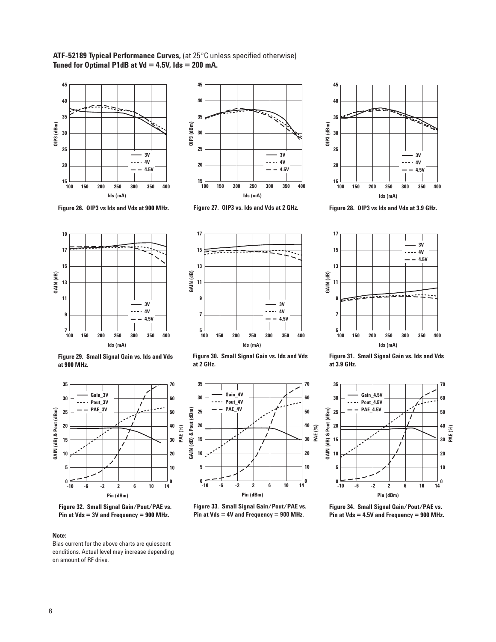**ATF-52189 Typical Performance Curves,** (at 25°C unless specified otherwise) **Tuned for Optimal P1dB at Vd = 4.5V, Ids = 200 mA.**





**Figure 26. OIP3 vs Ids and Vds at 900 MHz.** 





**Figure 28. OIP3 vs Ids and Vds at 3.9 GHz.** 







**Figure 29. Small Signal Gain vs. Ids and Vds at 900 MHz.** 



**Figure 32. Small Signal Gain/Pout/PAE vs. Pin at Vds = 3V and Frequency = 900 MHz.** 

Bias current for the above charts are quiescent conditions. Actual level may increase depending on amount of RF drive.

**Figure 30. Small Signal Gain vs. Ids and Vds at 2 GHz.** 



**Figure 33. Small Signal Gain/Pout/PAE vs. Pin at Vds = 4V and Frequency = 900 MHz.** 

**Figure 31. Small Signal Gain vs. Ids and Vds at 3.9 GHz.** 



**Figure 34. Small Signal Gain/Pout/PAE vs. Pin at Vds = 4.5V and Frequency = 900 MHz.** 



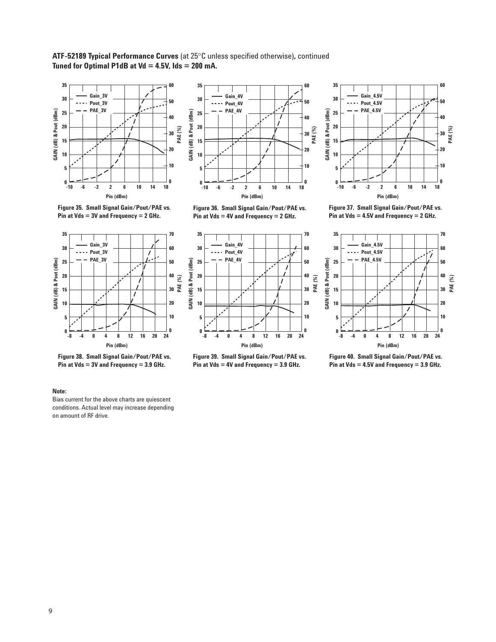**ATF-52189 Typical Performance Curves** (at 25°C unless specified otherwise)**,** continued **Tuned for Optimal P1dB at Vd = 4.5V, Ids = 200 mA.**



**Figure 35. Small Signal Gain/Pout/PAE vs. Pin at Vds = 3V and Frequency = 2 GHz.** 



**Figure 36. Small Signal Gain/Pout/PAE vs. Pin at Vds = 4V and Frequency = 2 GHz.** 









**Figure 37. Small Signal Gain/Pout/PAE vs. Pin at Vds = 4.5V and Frequency = 2 GHz.** 



**Figure 40. Small Signal Gain/Pout/PAE vs. Pin at Vds = 4.5V and Frequency = 3.9 GHz.** 

#### **Note:**

Bias current for the above charts are quiescent conditions. Actual level may increase depending on amount of RF drive.

**Figure 38. Small Signal Gain/Pout/PAE vs. Pin at Vds = 3V and Frequency = 3.9 GHz.**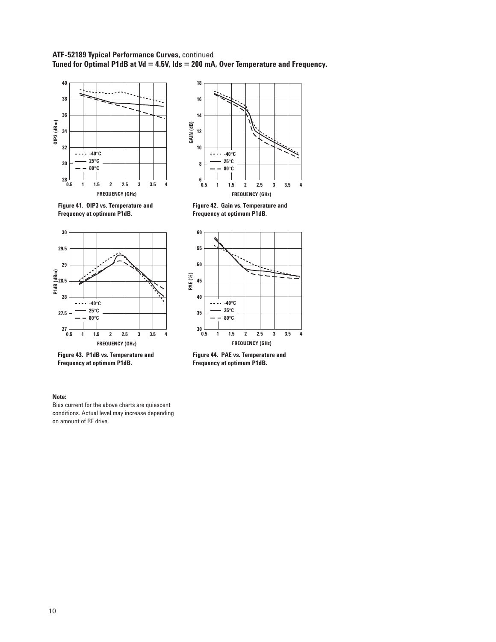## **ATF-52189 Typical Performance Curves,** continued **Tuned for Optimal P1dB at Vd = 4.5V, Ids = 200 mA, Over Temperature and Frequency.**





**Figure 42. Gain vs. Temperature and Frequency at optimum P1dB.** 



**Frequency at optimum P1dB.** 



**Figure 43. P1dB vs. Temperature and Frequency at optimum P1dB.** 

**Figure 44. PAE vs. Temperature and Frequency at optimum P1dB.** 

#### **Note:**

Bias current for the above charts are quiescent conditions. Actual level may increase depending on amount of RF drive.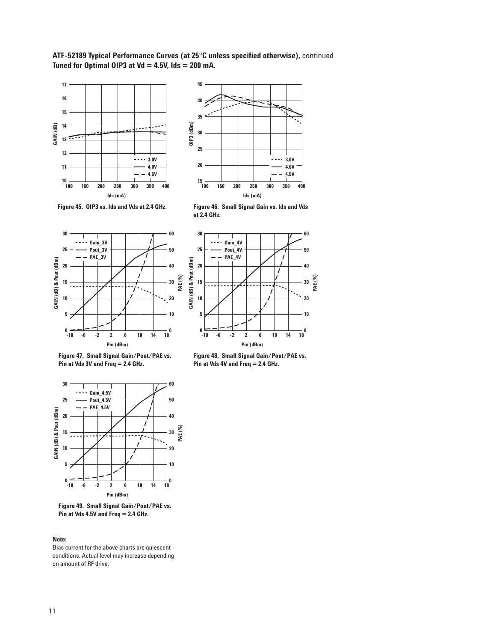**ATF-52189 Typical Performance Curves (at 25**°**C unless specified otherwise),** continued **Tuned for Optimal OIP3 at Vd = 4.5V, Ids = 200 mA.**





**Figure 45. OIP3 vs. Ids and Vds at 2.4 GHz.** 

**Figure 46. Small Signal Gain vs. Ids and Vds at 2.4 GHz.** 





**Figure 47. Small Signal Gain/Pout/PAE vs. Pin at Vds 3V and Freq = 2.4 GHz.** 



**Figure 49. Small Signal Gain/Pout/PAE vs. Pin at Vds 4.5V and Freq = 2.4 GHz.** 

Bias current for the above charts are quiescent conditions. Actual level may increase depending on amount of RF drive.

**Figure 48. Small Signal Gain/Pout/PAE vs. Pin at Vds 4V and Freq = 2.4 GHz.**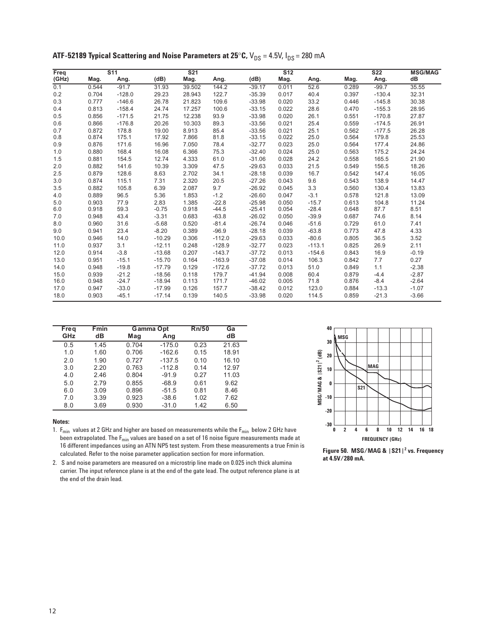| Freq  |       | $\overline{\text{S}11}$ |          | S <sub>21</sub> |          |          | S <sub>12</sub> |          |       | S <sub>22</sub> | <b>MSG/MAG</b> |
|-------|-------|-------------------------|----------|-----------------|----------|----------|-----------------|----------|-------|-----------------|----------------|
| (GHz) | Mag.  | Ang.                    | (dB)     | Mag.            | Ang.     | (dB)     | Mag.            | Ang.     | Mag.  | Ang.            | dB             |
| 0.1   | 0.544 | $-91.7$                 | 31.93    | 39.502          | 144.2    | $-39.17$ | 0.011           | 52.6     | 0.289 | $-99.7$         | 35.55          |
| 0.2   | 0.704 | $-128.0$                | 29.23    | 28.943          | 122.7    | $-35.39$ | 0.017           | 40.4     | 0.397 | $-130.4$        | 32.31          |
| 0.3   | 0.777 | $-146.6$                | 26.78    | 21.823          | 109.6    | $-33.98$ | 0.020           | 33.2     | 0.446 | $-145.8$        | 30.38          |
| 0.4   | 0.813 | $-158.4$                | 24.74    | 17.257          | 100.6    | $-33.15$ | 0.022           | 28.6     | 0.470 | $-155.3$        | 28.95          |
| 0.5   | 0.856 | $-171.5$                | 21.75    | 12.238          | 93.9     | $-33.98$ | 0.020           | 26.1     | 0.551 | $-170.8$        | 27.87          |
| 0.6   | 0.866 | $-176.8$                | 20.26    | 10.303          | 89.3     | $-33.56$ | 0.021           | 25.4     | 0.559 | $-174.5$        | 26.91          |
| 0.7   | 0.872 | 178.8                   | 19.00    | 8.913           | 85.4     | $-33.56$ | 0.021           | 25.1     | 0.562 | $-177.5$        | 26.28          |
| 0.8   | 0.874 | 175.1                   | 17.92    | 7.866           | 81.8     | $-33.15$ | 0.022           | 25.0     | 0.564 | 179.8           | 25.53          |
| 0.9   | 0.876 | 171.6                   | 16.96    | 7.050           | 78.4     | $-32.77$ | 0.023           | 25.0     | 0.564 | 177.4           | 24.86          |
| 1.0   | 0.880 | 168.4                   | 16.08    | 6.366           | 75.3     | $-32.40$ | 0.024           | 25.0     | 0.563 | 175.2           | 24.24          |
| 1.5   | 0.881 | 154.5                   | 12.74    | 4.333           | 61.0     | $-31.06$ | 0.028           | 24.2     | 0.558 | 165.5           | 21.90          |
| 2.0   | 0.882 | 141.6                   | 10.39    | 3.309           | 47.5     | $-29.63$ | 0.033           | 21.5     | 0.549 | 156.5           | 18.26          |
| 2.5   | 0.879 | 128.6                   | 8.63     | 2.702           | 34.1     | $-28.18$ | 0.039           | 16.7     | 0.542 | 147.4           | 16.05          |
| 3.0   | 0.874 | 115.1                   | 7.31     | 2.320           | 20.5     | $-27.26$ | 0.043           | 9.6      | 0.543 | 138.9           | 14.47          |
| 3.5   | 0.882 | 105.8                   | 6.39     | 2.087           | 9.7      | $-26.92$ | 0.045           | 3.3      | 0.560 | 130.4           | 13.83          |
| 4.0   | 0.889 | 96.5                    | 5.36     | 1.853           | $-1.2$   | $-26.60$ | 0.047           | $-3.1$   | 0.578 | 121.8           | 13.09          |
| 5.0   | 0.903 | 77.9                    | 2.83     | 1.385           | $-22.8$  | $-25.98$ | 0.050           | $-15.7$  | 0.613 | 104.8           | 11.24          |
| 6.0   | 0.918 | 59.3                    | $-0.75$  | 0.918           | $-44.5$  | $-25.41$ | 0.054           | $-28.4$  | 0.648 | 87.7            | 8.51           |
| 7.0   | 0.948 | 43.4                    | $-3.31$  | 0.683           | $-63.8$  | $-26.02$ | 0.050           | $-39.9$  | 0.687 | 74.6            | 8.14           |
| 8.0   | 0.960 | 31.6                    | $-5.68$  | 0.520           | $-81.4$  | $-26.74$ | 0.046           | $-51.6$  | 0.729 | 61.0            | 7.41           |
| 9.0   | 0.941 | 23.4                    | $-8.20$  | 0.389           | $-96.9$  | $-28.18$ | 0.039           | $-63.8$  | 0.773 | 47.8            | 4.33           |
| 10.0  | 0.946 | 14.0                    | $-10.29$ | 0.306           | $-112.0$ | $-29.63$ | 0.033           | $-80.6$  | 0.805 | 36.5            | 3.52           |
| 11.0  | 0.937 | 3.1                     | $-12.11$ | 0.248           | $-128.9$ | $-32.77$ | 0.023           | $-113.1$ | 0.825 | 26.9            | 2.11           |
| 12.0  | 0.914 | $-3.8$                  | $-13.68$ | 0.207           | $-143.7$ | $-37.72$ | 0.013           | $-154.6$ | 0.843 | 16.9            | $-0.19$        |
| 13.0  | 0.951 | $-15.1$                 | $-15.70$ | 0.164           | $-163.9$ | $-37.08$ | 0.014           | 106.3    | 0.842 | 7.7             | 0.27           |
| 14.0  | 0.948 | $-19.8$                 | $-17.79$ | 0.129           | $-172.6$ | $-37.72$ | 0.013           | 51.0     | 0.849 | 1.1             | $-2.38$        |
| 15.0  | 0.939 | $-21.2$                 | $-18.56$ | 0.118           | 179.7    | $-41.94$ | 0.008           | 60.4     | 0.879 | $-4.4$          | $-2.87$        |
| 16.0  | 0.948 | $-24.7$                 | $-18.94$ | 0.113           | 171.7    | $-46.02$ | 0.005           | 71.8     | 0.876 | $-8.4$          | $-2.64$        |
| 17.0  | 0.947 | $-33.0$                 | $-17.99$ | 0.126           | 157.7    | $-38.42$ | 0.012           | 123.0    | 0.884 | $-13.3$         | $-1.07$        |
| 18.0  | 0.903 | $-45.1$                 | $-17.14$ | 0.139           | 140.5    | $-33.98$ | 0.020           | 114.5    | 0.859 | $-21.3$         | $-3.66$        |

**ATF-52189 Typical Scattering and Noise Parameters at 25°C,**  $V_{DS} = 4.5V$ **,**  $I_{DS} = 280$  **mA** 

| Freq | <b>Fmin</b> | Gamma Opt |          | Rn/50 | Ga    |
|------|-------------|-----------|----------|-------|-------|
| GHz  | dВ          | Mag       | Ang      |       | dВ    |
| 0.5  | 1.45        | 0.704     | $-175.0$ | 0.23  | 21.63 |
| 1.0  | 1.60        | 0.706     | $-162.6$ | 0.15  | 18.91 |
| 2.0  | 1.90        | 0.727     | $-137.5$ | 0.10  | 16.10 |
| 3.0  | 2.20        | 0.763     | $-112.8$ | 0.14  | 12.97 |
| 4.0  | 2.46        | 0.804     | $-91.9$  | 0.27  | 11.03 |
| 5.0  | 2.79        | 0.855     | $-68.9$  | 0.61  | 9.62  |
| 6.0  | 3.09        | 0.896     | $-51.5$  | 0.81  | 8.46  |
| 7.0  | 3.39        | 0.923     | $-38.6$  | 1.02  | 7.62  |
| 0.8  | 3.69        | 0.930     | $-31.0$  | 1.42  | 6.50  |

1.  $F_{min}$  values at 2 GHz and higher are based on measurements while the  $F_{min}$  below 2 GHz have been extrapolated. The  $F_{min}$  values are based on a set of 16 noise figure measurements made at 16 different impedances using an ATN NP5 test system. From these measurements a true Fmin is calculated. Refer to the noise parameter application section for more information.



**Figure 50. MSG/MAG & |S21|2 vs. Frequency at 4.5V/280 mA.**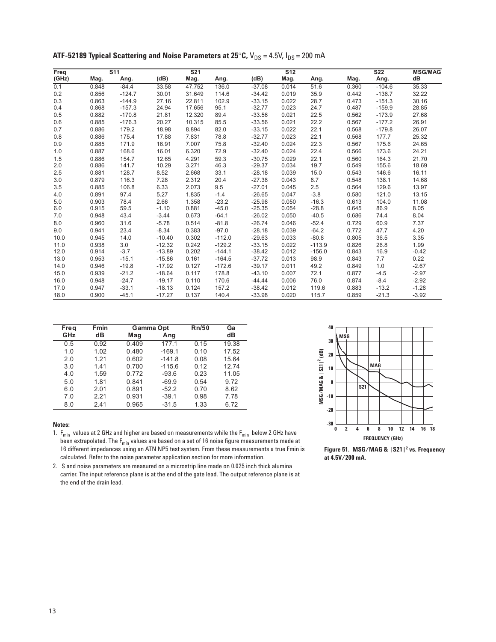| Freq  |       | $\overline{\text{S}11}$ |          | $\overline{S21}$ |          |          | $\overline{512}$ |          |       | $\overline{\text{S}22}$ | <b>MSG/MAG</b> |
|-------|-------|-------------------------|----------|------------------|----------|----------|------------------|----------|-------|-------------------------|----------------|
| (GHz) | Mag.  | Ang.                    | (dB)     | Mag.             | Ang.     | (dB)     | Mag.             | Ang.     | Mag.  | Ang.                    | dB             |
| 0.1   | 0.848 | $-84.4$                 | 33.58    | 47.752           | 136.0    | $-37.08$ | 0.014            | 51.6     | 0.360 | $-104.6$                | 35.33          |
| 0.2   | 0.856 | $-124.7$                | 30.01    | 31.649           | 114.6    | $-34.42$ | 0.019            | 35.9     | 0.442 | $-136.7$                | 32.22          |
| 0.3   | 0.863 | $-144.9$                | 27.16    | 22.811           | 102.9    | $-33.15$ | 0.022            | 28.7     | 0.473 | $-151.3$                | 30.16          |
| 0.4   | 0.868 | $-157.3$                | 24.94    | 17.656           | 95.1     | $-32.77$ | 0.023            | 24.7     | 0.487 | $-159.9$                | 28.85          |
| 0.5   | 0.882 | $-170.8$                | 21.81    | 12.320           | 89.4     | $-33.56$ | 0.021            | 22.5     | 0.562 | $-173.9$                | 27.68          |
| 0.6   | 0.885 | $-176.3$                | 20.27    | 10.315           | 85.5     | $-33.56$ | 0.021            | 22.2     | 0.567 | $-177.2$                | 26.91          |
| 0.7   | 0.886 | 179.2                   | 18.98    | 8.894            | 82.0     | $-33.15$ | 0.022            | 22.1     | 0.568 | $-179.8$                | 26.07          |
| 0.8   | 0.886 | 175.4                   | 17.88    | 7.831            | 78.8     | $-32.77$ | 0.023            | 22.1     | 0.568 | 177.7                   | 25.32          |
| 0.9   | 0.885 | 171.9                   | 16.91    | 7.007            | 75.8     | $-32.40$ | 0.024            | 22.3     | 0.567 | 175.6                   | 24.65          |
| 1.0   | 0.887 | 168.6                   | 16.01    | 6.320            | 72.9     | $-32.40$ | 0.024            | 22.4     | 0.566 | 173.6                   | 24.21          |
| 1.5   | 0.886 | 154.7                   | 12.65    | 4.291            | 59.3     | $-30.75$ | 0.029            | 22.1     | 0.560 | 164.3                   | 21.70          |
| 2.0   | 0.886 | 141.7                   | 10.29    | 3.271            | 46.3     | $-29.37$ | 0.034            | 19.7     | 0.549 | 155.6                   | 18.69          |
| 2.5   | 0.881 | 128.7                   | 8.52     | 2.668            | 33.1     | $-28.18$ | 0.039            | 15.0     | 0.543 | 146.6                   | 16.11          |
| 3.0   | 0.879 | 116.3                   | 7.28     | 2.312            | 20.4     | $-27.38$ | 0.043            | 8.7      | 0.548 | 138.1                   | 14.68          |
| 3.5   | 0.885 | 106.8                   | 6.33     | 2.073            | 9.5      | $-27.01$ | 0.045            | 2.5      | 0.564 | 129.6                   | 13.97          |
| 4.0   | 0.891 | 97.4                    | 5.27     | 1.835            | $-1.4$   | $-26.65$ | 0.047            | $-3.8$   | 0.580 | 121.0                   | 13.15          |
| 5.0   | 0.903 | 78.4                    | 2.66     | 1.358            | $-23.2$  | $-25.98$ | 0.050            | $-16.3$  | 0.613 | 104.0                   | 11.08          |
| 6.0   | 0.915 | 59.5                    | $-1.10$  | 0.881            | $-45.0$  | $-25.35$ | 0.054            | $-28.8$  | 0.645 | 86.9                    | 8.05           |
| 7.0   | 0.948 | 43.4                    | $-3.44$  | 0.673            | $-64.1$  | $-26.02$ | 0.050            | $-40.5$  | 0.686 | 74.4                    | 8.04           |
| 8.0   | 0.960 | 31.6                    | $-5.78$  | 0.514            | $-81.8$  | $-26.74$ | 0.046            | $-52.4$  | 0.729 | 60.9                    | 7.37           |
| 9.0   | 0.941 | 23.4                    | $-8.34$  | 0.383            | $-97.0$  | $-28.18$ | 0.039            | $-64.2$  | 0.772 | 47.7                    | 4.20           |
| 10.0  | 0.945 | 14.0                    | $-10.40$ | 0.302            | $-112.0$ | $-29.63$ | 0.033            | $-80.8$  | 0.805 | 36.5                    | 3.35           |
| 11.0  | 0.938 | 3.0                     | $-12.32$ | 0.242            | $-129.2$ | $-33.15$ | 0.022            | $-113.9$ | 0.826 | 26.8                    | 1.99           |
| 12.0  | 0.914 | $-3.7$                  | $-13.89$ | 0.202            | $-144.1$ | $-38.42$ | 0.012            | $-156.0$ | 0.843 | 16.9                    | $-0.42$        |
| 13.0  | 0.953 | $-15.1$                 | $-15.86$ | 0.161            | $-164.5$ | $-37.72$ | 0.013            | 98.9     | 0.843 | 7.7                     | 0.22           |
| 14.0  | 0.946 | $-19.8$                 | $-17.92$ | 0.127            | $-172.6$ | $-39.17$ | 0.011            | 49.2     | 0.849 | 1.0                     | $-2.67$        |
| 15.0  | 0.939 | $-21.2$                 | $-18.64$ | 0.117            | 178.8    | $-43.10$ | 0.007            | 72.1     | 0.877 | $-4.5$                  | $-2.97$        |
| 16.0  | 0.948 | $-24.7$                 | $-19.17$ | 0.110            | 170.6    | $-44.44$ | 0.006            | 76.0     | 0.874 | $-8.4$                  | $-2.92$        |
| 17.0  | 0.947 | $-33.1$                 | $-18.13$ | 0.124            | 157.2    | $-38.42$ | 0.012            | 119.6    | 0.883 | $-13.2$                 | $-1.28$        |
| 18.0  | 0.900 | $-45.1$                 | $-17.27$ | 0.137            | 140.4    | $-33.98$ | 0.020            | 115.7    | 0.859 | $-21.3$                 | $-3.92$        |

**ATF-52189 Typical Scattering and Noise Parameters at 25°C,**  $V_{DS} = 4.5V$ **,**  $I_{DS} = 200$  **mA** 

| Freq | <b>Fmin</b> | Gamma Opt |          | Rn/50 | Ga    |
|------|-------------|-----------|----------|-------|-------|
| GHz  | dВ          | Mag       | Ang      |       | dВ    |
| 0.5  | 0.92        | 0.409     | 177.1    | 0.15  | 19.38 |
| 1.0  | 1.02        | 0.480     | $-169.1$ | 0.10  | 17.52 |
| 2.0  | 1.21        | 0.602     | $-141.8$ | 0.08  | 15.64 |
| 3.0  | 1.41        | 0.700     | $-115.6$ | 0.12  | 12.74 |
| 4.0  | 1.59        | 0.772     | $-93.6$  | 0.23  | 11.05 |
| 5.0  | 1.81        | 0.841     | $-69.9$  | 0.54  | 9.72  |
| 6.0  | 2.01        | 0.891     | $-52.2$  | 0.70  | 8.62  |
| 7.0  | 2.21        | 0.931     | $-39.1$  | 0.98  | 7.78  |
| 8.0  | 2.41        | 0.965     | $-31.5$  | 1.33  | 6.72  |

1.  $F_{min}$  values at 2 GHz and higher are based on measurements while the  $F_{min}$  below 2 GHz have been extrapolated. The  $F_{min}$  values are based on a set of 16 noise figure measurements made at 16 different impedances using an ATN NP5 test system. From these measurements a true Fmin is calculated. Refer to the noise parameter application section for more information.



**Figure 51. MSG/MAG & |S21|2 vs. Frequency at 4.5V/200 mA.**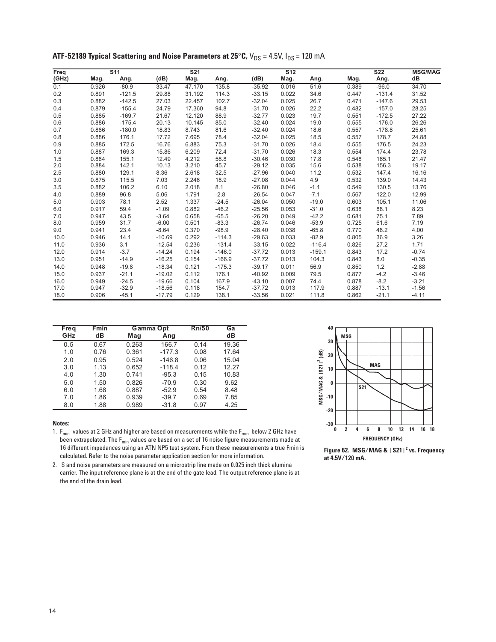| Freq  |       | $\overline{\text{S}11}$ |          | S <sub>21</sub> |          |          | $\overline{S12}$ |          |       | S <sub>22</sub> | <b>MSG/MAG</b> |
|-------|-------|-------------------------|----------|-----------------|----------|----------|------------------|----------|-------|-----------------|----------------|
| (GHz) | Mag.  | Ang.                    | (dB)     | Mag.            | Ang.     | (dB)     | Mag.             | Ang.     | Mag.  | Ang.            | dB             |
| 0.1   | 0.926 | $-80.9$                 | 33.47    | 47.170          | 135.8    | $-35.92$ | 0.016            | 51.6     | 0.389 | $-96.0$         | 34.70          |
| 0.2   | 0.891 | $-121.5$                | 29.88    | 31.192          | 114.3    | $-33.15$ | 0.022            | 34.6     | 0.447 | $-131.4$        | 31.52          |
| 0.3   | 0.882 | $-142.5$                | 27.03    | 22.457          | 102.7    | $-32.04$ | 0.025            | 26.7     | 0.471 | $-147.6$        | 29.53          |
| 0.4   | 0.879 | $-155.4$                | 24.79    | 17.360          | 94.8     | $-31.70$ | 0.026            | 22.2     | 0.482 | $-157.0$        | 28.25          |
| 0.5   | 0.885 | $-169.7$                | 21.67    | 12.120          | 88.9     | $-32.77$ | 0.023            | 19.7     | 0.551 | $-172.5$        | 27.22          |
| 0.6   | 0.886 | $-175.4$                | 20.13    | 10.145          | 85.0     | $-32.40$ | 0.024            | 19.0     | 0.555 | $-176.0$        | 26.26          |
| 0.7   | 0.886 | $-180.0$                | 18.83    | 8.743           | 81.6     | $-32.40$ | 0.024            | 18.6     | 0.557 | $-178.8$        | 25.61          |
| 0.8   | 0.886 | 176.1                   | 17.72    | 7.695           | 78.4     | $-32.04$ | 0.025            | 18.5     | 0.557 | 178.7           | 24.88          |
| 0.9   | 0.885 | 172.5                   | 16.76    | 6.883           | 75.3     | $-31.70$ | 0.026            | 18.4     | 0.555 | 176.5           | 24.23          |
| 1.0   | 0.887 | 169.3                   | 15.86    | 6.209           | 72.4     | $-31.70$ | 0.026            | 18.3     | 0.554 | 174.4           | 23.78          |
| 1.5   | 0.884 | 155.1                   | 12.49    | 4.212           | 58.8     | $-30.46$ | 0.030            | 17.8     | 0.548 | 165.1           | 21.47          |
| 2.0   | 0.884 | 142.1                   | 10.13    | 3.210           | 45.7     | $-29.12$ | 0.035            | 15.6     | 0.538 | 156.3           | 19.17          |
| 2.5   | 0.880 | 129.1                   | 8.36     | 2.618           | 32.5     | $-27.96$ | 0.040            | 11.2     | 0.532 | 147.4           | 16.16          |
| 3.0   | 0.875 | 115.5                   | 7.03     | 2.246           | 18.9     | $-27.08$ | 0.044            | 4.9      | 0.532 | 139.0           | 14.43          |
| 3.5   | 0.882 | 106.2                   | 6.10     | 2.018           | 8.1      | $-26.80$ | 0.046            | $-1.1$   | 0.549 | 130.5           | 13.76          |
| 4.0   | 0.889 | 96.8                    | 5.06     | 1.791           | $-2.8$   | $-26.54$ | 0.047            | $-7.1$   | 0.567 | 122.0           | 12.99          |
| 5.0   | 0.903 | 78.1                    | 2.52     | 1.337           | $-24.5$  | $-26.04$ | 0.050            | $-19.0$  | 0.603 | 105.1           | 11.06          |
| 6.0   | 0.917 | 59.4                    | $-1.09$  | 0.882           | $-46.2$  | $-25.56$ | 0.053            | $-31.0$  | 0.638 | 88.1            | 8.23           |
| 7.0   | 0.947 | 43.5                    | $-3.64$  | 0.658           | $-65.5$  | $-26.20$ | 0.049            | $-42.2$  | 0.681 | 75.1            | 7.89           |
| 8.0   | 0.959 | 31.7                    | $-6.00$  | 0.501           | $-83.3$  | $-26.74$ | 0.046            | $-53.9$  | 0.725 | 61.6            | 7.19           |
| 9.0   | 0.941 | 23.4                    | $-8.64$  | 0.370           | $-98.9$  | $-28.40$ | 0.038            | $-65.8$  | 0.770 | 48.2            | 4.00           |
| 10.0  | 0.946 | 14.1                    | $-10.69$ | 0.292           | $-114.3$ | $-29.63$ | 0.033            | $-82.9$  | 0.805 | 36.9            | 3.26           |
| 11.0  | 0.936 | 3.1                     | $-12.54$ | 0.236           | $-131.4$ | $-33.15$ | 0.022            | $-116.4$ | 0.826 | 27.2            | 1.71           |
| 12.0  | 0.914 | $-3.7$                  | $-14.24$ | 0.194           | $-146.0$ | $-37.72$ | 0.013            | $-159.1$ | 0.843 | 17.2            | $-0.74$        |
| 13.0  | 0.951 | $-14.9$                 | $-16.25$ | 0.154           | $-166.9$ | $-37.72$ | 0.013            | 104.3    | 0.843 | 8.0             | $-0.35$        |
| 14.0  | 0.948 | $-19.8$                 | $-18.34$ | 0.121           | $-175.3$ | $-39.17$ | 0.011            | 56.9     | 0.850 | 1.2             | $-2.88$        |
| 15.0  | 0.937 | $-21.1$                 | $-19.02$ | 0.112           | 176.1    | $-40.92$ | 0.009            | 79.5     | 0.877 | $-4.2$          | $-3.46$        |
| 16.0  | 0.949 | $-24.5$                 | $-19.66$ | 0.104           | 167.9    | $-43.10$ | 0.007            | 74.4     | 0.878 | $-8.2$          | $-3.21$        |
| 17.0  | 0.947 | $-32.9$                 | $-18.56$ | 0.118           | 154.7    | $-37.72$ | 0.013            | 117.9    | 0.887 | $-13.1$         | $-1.56$        |
| 18.0  | 0.906 | $-45.1$                 | $-17.79$ | 0.129           | 138.1    | $-33.56$ | 0.021            | 111.8    | 0.862 | $-21.1$         | $-4.11$        |

**ATF-52189 Typical Scattering and Noise Parameters at 25°C,**  $V_{DS} = 4.5V$ **,**  $I_{DS} = 120$  **mA** 

| Freq | Fmin | Gamma Opt |          | Rn/50 | Ga    |
|------|------|-----------|----------|-------|-------|
| GHz  | dВ   | Mag       | Ang      |       | dВ    |
| 0.5  | 0.67 | 0.263     | 166.7    | 0.14  | 19.36 |
| 1.0  | 0.76 | 0.361     | $-177.3$ | 0.08  | 17.64 |
| 2.0  | 0.95 | 0.524     | $-146.8$ | 0.06  | 15.04 |
| 3.0  | 1.13 | 0.652     | $-118.4$ | 0.12  | 12.27 |
| 4.0  | 1.30 | 0.741     | $-95.3$  | 0.15  | 10.83 |
| 5.0  | 1.50 | 0.826     | $-70.9$  | 0.30  | 9.62  |
| 6.0  | 1.68 | 0.887     | $-52.9$  | 0.54  | 8.48  |
| 7.0  | 1.86 | 0.939     | $-39.7$  | 0.69  | 7.85  |
| 8.0  | 1.88 | 0.989     | $-31.8$  | 0.97  | 4.25  |

1.  $F_{min}$  values at 2 GHz and higher are based on measurements while the  $F_{min}$  below 2 GHz have been extrapolated. The  $F_{min}$  values are based on a set of 16 noise figure measurements made at 16 different impedances using an ATN NP5 test system. From these measurements a true Fmin is calculated. Refer to the noise parameter application section for more information.



**Figure 52. MSG/MAG & |S21|2 vs. Frequency at 4.5V/120 mA.**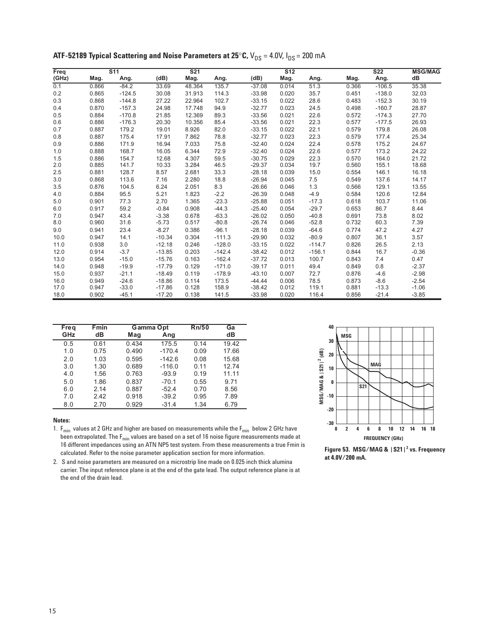| Freq  |       | S <sub>11</sub> |          | S <sub>21</sub> |          |          | S <sub>12</sub> |          |       | S <sub>22</sub> | <b>MSG/MAG</b> |
|-------|-------|-----------------|----------|-----------------|----------|----------|-----------------|----------|-------|-----------------|----------------|
| (GHz) | Mag.  | Ang.            | (dB)     | Mag.            | Ang.     | (dB)     | Mag.            | Ang.     | Mag.  | Ang.            | dB             |
| 0.1   | 0.866 | $-84.2$         | 33.69    | 48.364          | 135.7    | $-37.08$ | 0.014           | 51.3     | 0.366 | $-106.5$        | 35.38          |
| 0.2   | 0.865 | $-124.5$        | 30.08    | 31.913          | 114.3    | $-33.98$ | 0.020           | 35.7     | 0.451 | $-138.0$        | 32.03          |
| 0.3   | 0.868 | $-144.8$        | 27.22    | 22.964          | 102.7    | $-33.15$ | 0.022           | 28.6     | 0.483 | $-152.3$        | 30.19          |
| 0.4   | 0.870 | $-157.3$        | 24.98    | 17.748          | 94.9     | $-32.77$ | 0.023           | 24.5     | 0.498 | $-160.7$        | 28.87          |
| 0.5   | 0.884 | $-170.8$        | 21.85    | 12.369          | 89.3     | $-33.56$ | 0.021           | 22.6     | 0.572 | $-174.3$        | 27.70          |
| 0.6   | 0.886 | $-176.3$        | 20.30    | 10.356          | 85.4     | $-33.56$ | 0.021           | 22.3     | 0.577 | $-177.5$        | 26.93          |
| 0.7   | 0.887 | 179.2           | 19.01    | 8.926           | 82.0     | $-33.15$ | 0.022           | 22.1     | 0.579 | 179.8           | 26.08          |
| 0.8   | 0.887 | 175.4           | 17.91    | 7.862           | 78.8     | $-32.77$ | 0.023           | 22.3     | 0.579 | 177.4           | 25.34          |
| 0.9   | 0.886 | 171.9           | 16.94    | 7.033           | 75.8     | $-32.40$ | 0.024           | 22.4     | 0.578 | 175.2           | 24.67          |
| 1.0   | 0.888 | 168.7           | 16.05    | 6.344           | 72.9     | $-32.40$ | 0.024           | 22.6     | 0.577 | 173.2           | 24.22          |
| 1.5   | 0.886 | 154.7           | 12.68    | 4.307           | 59.5     | $-30.75$ | 0.029           | 22.3     | 0.570 | 164.0           | 21.72          |
| 2.0   | 0.885 | 141.7           | 10.33    | 3.284           | 46.5     | $-29.37$ | 0.034           | 19.7     | 0.560 | 155.1           | 18.68          |
| 2.5   | 0.881 | 128.7           | 8.57     | 2.681           | 33.3     | $-28.18$ | 0.039           | 15.0     | 0.554 | 146.1           | 16.18          |
| 3.0   | 0.868 | 113.6           | 7.16     | 2.280           | 18.8     | $-26.94$ | 0.045           | 7.5      | 0.549 | 137.6           | 14.17          |
| 3.5   | 0.876 | 104.5           | 6.24     | 2.051           | 8.3      | $-26.66$ | 0.046           | 1.3      | 0.566 | 129.1           | 13.55          |
| 4.0   | 0.884 | 95.5            | 5.21     | 1.823           | $-2.2$   | $-26.39$ | 0.048           | $-4.9$   | 0.584 | 120.6           | 12.84          |
| 5.0   | 0.901 | 77.3            | 2.70     | 1.365           | $-23.3$  | $-25.88$ | 0.051           | $-17.3$  | 0.618 | 103.7           | 11.06          |
| 6.0   | 0.917 | 59.2            | $-0.84$  | 0.908           | $-44.3$  | $-25.40$ | 0.054           | $-29.7$  | 0.653 | 86.7            | 8.44           |
| 7.0   | 0.947 | 43.4            | $-3.38$  | 0.678           | $-63.3$  | $-26.02$ | 0.050           | $-40.8$  | 0.691 | 73.8            | 8.02           |
| 8.0   | 0.960 | 31.6            | $-5.73$  | 0.517           | $-80.8$  | $-26.74$ | 0.046           | $-52.8$  | 0.732 | 60.3            | 7.39           |
| 9.0   | 0.941 | 23.4            | $-8.27$  | 0.386           | $-96.1$  | $-28.18$ | 0.039           | $-64.6$  | 0.774 | 47.2            | 4.27           |
| 10.0  | 0.947 | 14.1            | $-10.34$ | 0.304           | $-111.3$ | $-29.90$ | 0.032           | $-80.9$  | 0.807 | 36.1            | 3.57           |
| 11.0  | 0.938 | 3.0             | $-12.18$ | 0.246           | $-128.0$ | $-33.15$ | 0.022           | $-114.7$ | 0.826 | 26.5            | 2.13           |
| 12.0  | 0.914 | $-3.7$          | $-13.85$ | 0.203           | $-142.4$ | $-38.42$ | 0.012           | $-156.1$ | 0.844 | 16.7            | $-0.36$        |
| 13.0  | 0.954 | $-15.0$         | $-15.76$ | 0.163           | $-162.4$ | $-37.72$ | 0.013           | 100.7    | 0.843 | 7.4             | 0.47           |
| 14.0  | 0.948 | $-19.9$         | $-17.79$ | 0.129           | $-171.0$ | $-39.17$ | 0.011           | 49.4     | 0.849 | 0.8             | $-2.37$        |
| 15.0  | 0.937 | $-21.1$         | $-18.49$ | 0.119           | $-178.9$ | $-43.10$ | 0.007           | 72.7     | 0.876 | $-4.6$          | $-2.98$        |
| 16.0  | 0.949 | $-24.6$         | $-18.86$ | 0.114           | 173.5    | $-44.44$ | 0.006           | 78.5     | 0.873 | $-8.6$          | $-2.54$        |
| 17.0  | 0.947 | $-33.0$         | $-17.86$ | 0.128           | 158.9    | $-38.42$ | 0.012           | 119.1    | 0.881 | $-13.3$         | $-1.06$        |
| 18.0  | 0.902 | $-45.1$         | $-17.20$ | 0.138           | 141.5    | $-33.98$ | 0.020           | 116.4    | 0.856 | $-21.4$         | $-3.85$        |

**ATF-52189 Typical Scattering and Noise Parameters at 25°C,**  $V_{DS} = 4.0V$ **,**  $I_{DS} = 200$  **mA** 

| Freq | <b>Fmin</b> | Gamma Opt |          | Rn/50 | Ga    |
|------|-------------|-----------|----------|-------|-------|
| GHz  | dВ          | Mag       | Ang      |       | dВ    |
| 0.5  | 0.61        | 0.434     | 175.5    | 0.14  | 19.42 |
| 1.0  | 0.75        | 0.490     | $-170.4$ | 0.09  | 17.66 |
| 2.0  | 1.03        | 0.595     | $-142.6$ | 0.08  | 15.68 |
| 3.0  | 1.30        | 0.689     | $-116.0$ | 0.11  | 12.74 |
| 4.0  | 1.56        | 0.763     | $-93.9$  | 0.19  | 11.11 |
| 5.0  | 1.86        | 0.837     | $-70.1$  | 0.55  | 9.71  |
| 6.0  | 2.14        | 0.887     | $-52.4$  | 0.70  | 8.56  |
| 7.0  | 2.42        | 0.918     | $-39.2$  | 0.95  | 7.89  |
| 8.0  | 2.70        | 0.929     | $-31.4$  | 1.34  | 6.79  |

1.  $F_{min}$  values at 2 GHz and higher are based on measurements while the  $F_{min}$  below 2 GHz have been extrapolated. The  $\mathsf{F}_{\mathsf{min}}$  values are based on a set of 16 noise figure measurements made at 16 different impedances using an ATN NP5 test system. From these measurements a true Fmin is calculated. Refer to the noise parameter application section for more information.



**Figure 53. MSG/MAG & |S21|2 vs. Frequency at 4.0V/200 mA.**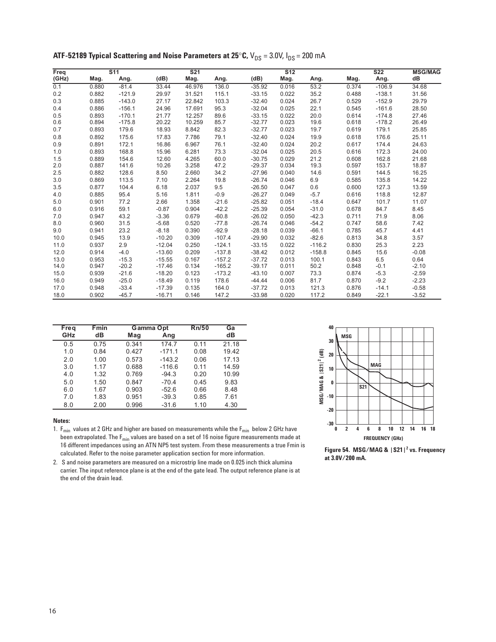| Freq  |       | S <sub>11</sub> |          | S <sub>21</sub> |          |          | $\overline{S12}$ |          |       | <b>S22</b> | <b>MSG/MAG</b> |
|-------|-------|-----------------|----------|-----------------|----------|----------|------------------|----------|-------|------------|----------------|
| (GHz) | Mag.  | Ang.            | (dB)     | Mag.            | Ang.     | (dB)     | Mag.             | Ang.     | Mag.  | Ang.       | dB             |
| 0.1   | 0.880 | $-81.4$         | 33.44    | 46.976          | 136.0    | $-35.92$ | 0.016            | 53.2     | 0.374 | $-106.9$   | 34.68          |
| 0.2   | 0.882 | $-121.9$        | 29.97    | 31.521          | 115.1    | $-33.15$ | 0.022            | 35.2     | 0.488 | $-138.1$   | 31.56          |
| 0.3   | 0.885 | $-143.0$        | 27.17    | 22.842          | 103.3    | $-32.40$ | 0.024            | 26.7     | 0.529 | $-152.9$   | 29.79          |
| 0.4   | 0.886 | $-156.1$        | 24.96    | 17.691          | 95.3     | $-32.04$ | 0.025            | 22.1     | 0.545 | $-161.6$   | 28.50          |
| 0.5   | 0.893 | $-170.1$        | 21.77    | 12.257          | 89.6     | $-33.15$ | 0.022            | 20.0     | 0.614 | $-174.8$   | 27.46          |
| 0.6   | 0.894 | $-175.8$        | 20.22    | 10.259          | 85.7     | $-32.77$ | 0.023            | 19.6     | 0.618 | $-178.2$   | 26.49          |
| 0.7   | 0.893 | 179.6           | 18.93    | 8.842           | 82.3     | $-32.77$ | 0.023            | 19.7     | 0.619 | 179.1      | 25.85          |
| 0.8   | 0.892 | 175.6           | 17.83    | 7.786           | 79.1     | $-32.40$ | 0.024            | 19.9     | 0.618 | 176.6      | 25.11          |
| 0.9   | 0.891 | 172.1           | 16.86    | 6.967           | 76.1     | $-32.40$ | 0.024            | 20.2     | 0.617 | 174.4      | 24.63          |
| 1.0   | 0.893 | 168.8           | 15.96    | 6.281           | 73.3     | $-32.04$ | 0.025            | 20.5     | 0.616 | 172.3      | 24.00          |
| 1.5   | 0.889 | 154.6           | 12.60    | 4.265           | 60.0     | $-30.75$ | 0.029            | 21.2     | 0.608 | 162.8      | 21.68          |
| 2.0   | 0.887 | 141.6           | 10.26    | 3.258           | 47.2     | $-29.37$ | 0.034            | 19.3     | 0.597 | 153.7      | 18.87          |
| 2.5   | 0.882 | 128.6           | 8.50     | 2.660           | 34.2     | $-27.96$ | 0.040            | 14.6     | 0.591 | 144.5      | 16.25          |
| 3.0   | 0.869 | 113.5           | 7.10     | 2.264           | 19.8     | $-26.74$ | 0.046            | 6.9      | 0.585 | 135.8      | 14.22          |
| 3.5   | 0.877 | 104.4           | 6.18     | 2.037           | 9.5      | $-26.50$ | 0.047            | 0.6      | 0.600 | 127.3      | 13.59          |
| 4.0   | 0.885 | 95.4            | 5.16     | 1.811           | $-0.9$   | $-26.27$ | 0.049            | $-5.7$   | 0.616 | 118.8      | 12.87          |
| 5.0   | 0.901 | 77.2            | 2.66     | 1.358           | $-21.6$  | $-25.82$ | 0.051            | $-18.4$  | 0.647 | 101.7      | 11.07          |
| 6.0   | 0.916 | 59.1            | $-0.87$  | 0.904           | $-42.2$  | $-25.39$ | 0.054            | $-31.0$  | 0.678 | 84.7       | 8.45           |
| 7.0   | 0.947 | 43.2            | $-3.36$  | 0.679           | $-60.8$  | $-26.02$ | 0.050            | $-42.3$  | 0.711 | 71.9       | 8.06           |
| 8.0   | 0.960 | 31.5            | $-5.68$  | 0.520           | $-77.8$  | $-26.74$ | 0.046            | $-54.2$  | 0.747 | 58.6       | 7.42           |
| 9.0   | 0.941 | 23.2            | $-8.18$  | 0.390           | $-92.9$  | $-28.18$ | 0.039            | $-66.1$  | 0.785 | 45.7       | 4.41           |
| 10.0  | 0.945 | 13.9            | $-10.20$ | 0.309           | $-107.4$ | $-29.90$ | 0.032            | $-82.6$  | 0.813 | 34.8       | 3.57           |
| 11.0  | 0.937 | 2.9             | $-12.04$ | 0.250           | $-124.1$ | $-33.15$ | 0.022            | $-116.2$ | 0.830 | 25.3       | 2.23           |
| 12.0  | 0.914 | $-4.0$          | $-13.60$ | 0.209           | $-137.8$ | $-38.42$ | 0.012            | $-158.8$ | 0.845 | 15.6       | $-0.08$        |
| 13.0  | 0.953 | $-15.3$         | $-15.55$ | 0.167           | $-157.2$ | $-37.72$ | 0.013            | 100.1    | 0.843 | 6.5        | 0.64           |
| 14.0  | 0.947 | $-20.2$         | $-17.46$ | 0.134           | $-165.2$ | $-39.17$ | 0.011            | 50.2     | 0.848 | $-0.1$     | $-2.10$        |
| 15.0  | 0.939 | $-21.6$         | $-18.20$ | 0.123           | $-173.2$ | $-43.10$ | 0.007            | 73.3     | 0.874 | $-5.3$     | $-2.59$        |
| 16.0  | 0.949 | $-25.0$         | $-18.49$ | 0.119           | 178.6    | $-44.44$ | 0.006            | 81.7     | 0.870 | $-9.2$     | $-2.23$        |
| 17.0  | 0.948 | $-33.4$         | $-17.39$ | 0.135           | 164.0    | $-37.72$ | 0.013            | 121.3    | 0.876 | $-14.1$    | $-0.58$        |
| 18.0  | 0.902 | $-45.7$         | $-16.71$ | 0.146           | 147.2    | $-33.98$ | 0.020            | 117.2    | 0.849 | $-22.1$    | $-3.52$        |

**ATF-52189 Typical Scattering and Noise Parameters at 25°C,**  $V_{DS} = 3.0V$ **,**  $I_{DS} = 200$  **mA** 

| Freq | <b>Fmin</b> | Gamma Opt |          | Rn/50 | Ga    |
|------|-------------|-----------|----------|-------|-------|
| GHz  | dВ          | Mag       | Ang      |       | dВ    |
| 0.5  | 0.75        | 0.341     | 174.7    | 0.11  | 21.18 |
| 1.0  | 0.84        | 0.427     | $-171.1$ | 0.08  | 19.42 |
| 2.0  | 1.00        | 0.573     | $-143.2$ | 0.06  | 17.13 |
| 3.0  | 1.17        | 0.688     | $-116.6$ | 0.11  | 14.59 |
| 4.0  | 1.32        | 0.769     | $-94.3$  | 0.20  | 10.99 |
| 5.0  | 1.50        | 0.847     | $-70.4$  | 0.45  | 9.83  |
| 6.0  | 1.67        | 0.903     | $-52.6$  | 0.66  | 8.48  |
| 7.0  | 1.83        | 0.951     | $-39.3$  | 0.85  | 7.61  |
| 8.0  | 2.00        | 0.996     | $-31.6$  | 1.10  | 4.30  |

1.  $F_{min}$  values at 2 GHz and higher are based on measurements while the  $F_{min}$  below 2 GHz have been extrapolated. The  $F_{min}$  values are based on a set of 16 noise figure measurements made at 16 different impedances using an ATN NP5 test system. From these measurements a true Fmin is calculated. Refer to the noise parameter application section for more information.



**Figure 54. MSG/MAG & |S21|2 vs. Frequency at 3.0V/200 mA.**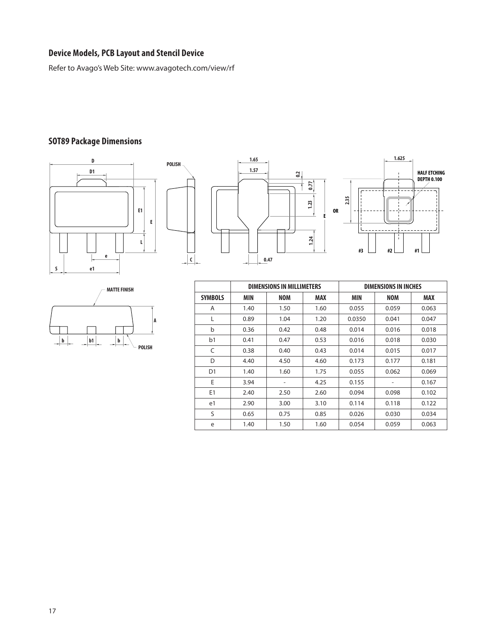## **Device Models, PCB Layout and Stencil Device**

Refer to Avago's Web Site: www.avagotech.com/view/rf

## **SOT89 Package Dimensions**







|                |      | <b>DIMENSIONS IN MILLIMETERS</b> |            | <b>DIMENSIONS IN INCHES</b> |            |       |  |
|----------------|------|----------------------------------|------------|-----------------------------|------------|-------|--|
| <b>SYMBOLS</b> | MIN  | <b>NOM</b>                       | <b>MAX</b> | <b>MIN</b>                  | <b>NOM</b> | MAX   |  |
| A              | 1.40 | 1.50                             | 1.60       | 0.055                       | 0.059      | 0.063 |  |
| L              | 0.89 | 1.04                             | 1.20       | 0.0350                      | 0.041      | 0.047 |  |
| b              | 0.36 | 0.42                             | 0.48       | 0.014                       | 0.016      | 0.018 |  |
| b <sub>1</sub> | 0.41 | 0.47                             | 0.53       | 0.016                       | 0.018      | 0.030 |  |
| C              | 0.38 | 0.40                             | 0.43       | 0.014                       | 0.015      | 0.017 |  |
| D              | 4.40 | 4.50                             | 4.60       | 0.173                       | 0.177      | 0.181 |  |
| D <sub>1</sub> | 1.40 | 1.60                             | 1.75       | 0.055                       | 0.062      | 0.069 |  |
| E              | 3.94 | -                                | 4.25       | 0.155                       | ٠          | 0.167 |  |
| E <sub>1</sub> | 2.40 | 2.50                             | 2.60       | 0.094                       | 0.098      | 0.102 |  |
| e1             | 2.90 | 3.00                             | 3.10       | 0.114                       | 0.118      | 0.122 |  |
| S              | 0.65 | 0.75                             | 0.85       | 0.026                       | 0.030      | 0.034 |  |
| e              | 1.40 | 1.50                             | 1.60       | 0.054                       | 0.059      | 0.063 |  |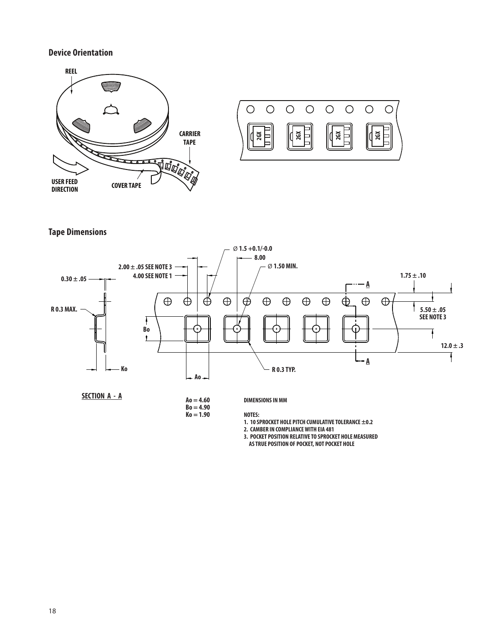## **Device Orientation**





**Tape Dimensions**



**SECTION A - A**

**Ao = 4.60**

**Bo = 4.90**  $Ko = 1.90$ 

**DIMENSIONS IN MM**

**NOTES:**

**1. 10 SPROCKET HOLE PITCH CUMULATIVE TOLERANCE ±0.2**

**2. CAMBER IN COMPLIANCE WITH EIA 481**

**3. POCKET POSITION RELATIVE TO SPROCKET HOLE MEASURED**

 **AS TRUE POSITION OF POCKET, NOT POCKET HOLE**